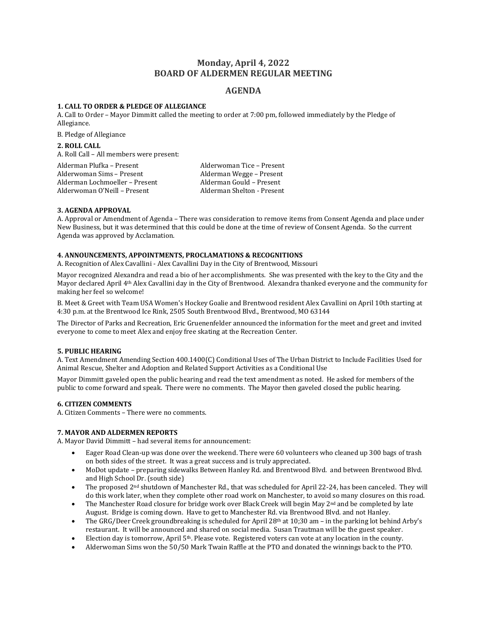# **Monday, April 4, 2022 BOARD OF ALDERMEN REGULAR MEETING**

## **AGENDA**

## **1. CALL TO ORDER & PLEDGE OF ALLEGIANCE**

A. Call to Order – Mayor Dimmitt called the meeting to order at 7:00 pm, followed immediately by the Pledge of Allegiance.

B. Pledge of Allegiance

### **2. ROLL CALL**

A. Roll Call – All members were present:

Alderman Plufka – Present Mexico and Alderwoman Tice – Present Alderwoman Sims – Present Alderman Wegge – Present Alderman Lochmoeller – Present Alderman Gould – Present Alderwoman O'Neill – Present and Alderman Shelton - Present

## **3. AGENDA APPROVAL**

A. Approval or Amendment of Agenda – There was consideration to remove items from Consent Agenda and place under New Business, but it was determined that this could be done at the time of review of Consent Agenda. So the current Agenda was approved by Acclamation.

## **4. ANNOUNCEMENTS, APPOINTMENTS, PROCLAMATIONS & RECOGNITIONS**

A. Recognition of Alex Cavallini - Alex Cavallini Day in the City of Brentwood, Missouri

Mayor recognized Alexandra and read a bio of her accomplishments. She was presented with the key to the City and the Mayor declared April 4th Alex Cavallini day in the City of Brentwood. Alexandra thanked everyone and the community for making her feel so welcome!

B. Meet & Greet with Team USA Women's Hockey Goalie and Brentwood resident Alex Cavallini on April 10th starting at 4:30 p.m. at the Brentwood Ice Rink, 2505 South Brentwood Blvd., Brentwood, MO 63144

The Director of Parks and Recreation, Eric Gruenenfelder announced the information for the meet and greet and invited everyone to come to meet Alex and enjoy free skating at the Recreation Center.

#### **5. PUBLIC HEARING**

A. Text Amendment Amending Section 400.1400(C) Conditional Uses of The Urban District to Include Facilities Used for Animal Rescue, Shelter and Adoption and Related Support Activities as a Conditional Use

Mayor Dimmitt gaveled open the public hearing and read the text amendment as noted. He asked for members of the public to come forward and speak. There were no comments. The Mayor then gaveled closed the public hearing.

#### **6. CITIZEN COMMENTS**

A. Citizen Comments – There were no comments.

## **7. MAYOR AND ALDERMEN REPORTS**

A. Mayor David Dimmitt – had several items for announcement:

- Eager Road Clean-up was done over the weekend. There were 60 volunteers who cleaned up 300 bags of trash on both sides of the street. It was a great success and is truly appreciated.
- MoDot update preparing sidewalks Between Hanley Rd. and Brentwood Blvd. and between Brentwood Blvd. and High School Dr. (south side)
- The proposed  $2^{nd}$  shutdown of Manchester Rd., that was scheduled for April 22-24, has been canceled. They will do this work later, when they complete other road work on Manchester, to avoid so many closures on this road.
- The Manchester Road closure for bridge work over Black Creek will begin May  $2<sup>nd</sup>$  and be completed by late August. Bridge is coming down. Have to get to Manchester Rd. via Brentwood Blvd. and not Hanley.
- The GRG/Deer Creek groundbreaking is scheduled for April 28<sup>th</sup> at 10;30 am in the parking lot behind Arby's restaurant. It will be announced and shared on social media. Susan Trautman will be the guest speaker.
- Election day is tomorrow, April 5th. Please vote. Registered voters can vote at any location in the county.
- Alderwoman Sims won the 50/50 Mark Twain Raffle at the PTO and donated the winnings back to the PTO.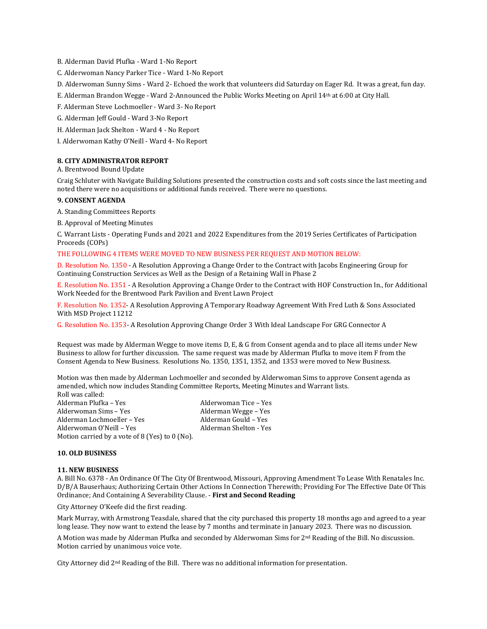B. Alderman David Plufka - Ward 1-No Report

- C. Alderwoman Nancy Parker Tice Ward 1-No Report
- D. Alderwoman Sunny Sims Ward 2- Echoed the work that volunteers did Saturday on Eager Rd. It was a great, fun day.
- E. Alderman Brandon Wegge Ward 2-Announced the Public Works Meeting on April 14th at 6:00 at City Hall.
- F. Alderman Steve Lochmoeller Ward 3- No Report
- G. Alderman Jeff Gould Ward 3-No Report
- H. Alderman Jack Shelton Ward 4 No Report
- I. Alderwoman Kathy O'Neill Ward 4- No Report

#### **8. CITY ADMINISTRATOR REPORT**

A. Brentwood Bound Update

Craig Schluter with Navigate Building Solutions presented the construction costs and soft costs since the last meeting and noted there were no acquisitions or additional funds received. There were no questions.

## **9. CONSENT AGENDA**

A. Standing Committees Reports

B. Approval of Meeting Minutes

C. Warrant Lists - Operating Funds and 2021 and 2022 Expenditures from the 2019 Series Certificates of Participation Proceeds (COPs)

## THE FOLLOWING 4 ITEMS WERE MOVED TO NEW BUSINESS PER REQUEST AND MOTION BELOW:

D. Resolution No. 1350 - A Resolution Approving a Change Order to the Contract with Jacobs Engineering Group for Continuing Construction Services as Well as the Design of a Retaining Wall in Phase 2

E. Resolution No. 1351 - A Resolution Approving a Change Order to the Contract with HOF Construction In., for Additional Work Needed for the Brentwood Park Pavilion and Event Lawn Project

F. Resolution No. 1352- A Resolution Approving A Temporary Roadway Agreement With Fred Luth & Sons Associated With MSD Project 11212

G. Resolution No. 1353- A Resolution Approving Change Order 3 With Ideal Landscape For GRG Connector A

Request was made by Alderman Wegge to move items D, E, & G from Consent agenda and to place all items under New Business to allow for further discussion. The same request was made by Alderman Plufka to move item F from the Consent Agenda to New Business. Resolutions No. 1350, 1351, 1352, and 1353 were moved to New Business.

Motion was then made by Alderman Lochmoeller and seconded by Alderwoman Sims to approve Consent agenda as amended, which now includes Standing Committee Reports, Meeting Minutes and Warrant lists.

Roll was called: Alderman Plufka – Yes Alderwoman Tice – Yes Alderwoman Sims – Yes Alderman Wegge – Yes Alderman Lochmoeller – Yes Alderman Gould – Yes Alderwoman O'Neill - Yes Motion carried by a vote of 8 (Yes) to 0 (No).

#### **10. OLD BUSINESS**

#### **11. NEW BUSINESS**

A. Bill No. 6378 - An Ordinance Of The City Of Brentwood, Missouri, Approving Amendment To Lease With Renatales Inc. D/B/A Bauserhaus; Authorizing Certain Other Actions In Connection Therewith; Providing For The Effective Date Of This Ordinance; And Containing A Severability Clause. - **First and Second Reading**

City Attorney O'Keefe did the first reading.

Mark Murray, with Armstrong Teasdale, shared that the city purchased this property 18 months ago and agreed to a year long lease. They now want to extend the lease by 7 months and terminate in January 2023. There was no discussion.

A Motion was made by Alderman Plufka and seconded by Alderwoman Sims for 2nd Reading of the Bill. No discussion. Motion carried by unanimous voice vote.

City Attorney did 2nd Reading of the Bill. There was no additional information for presentation.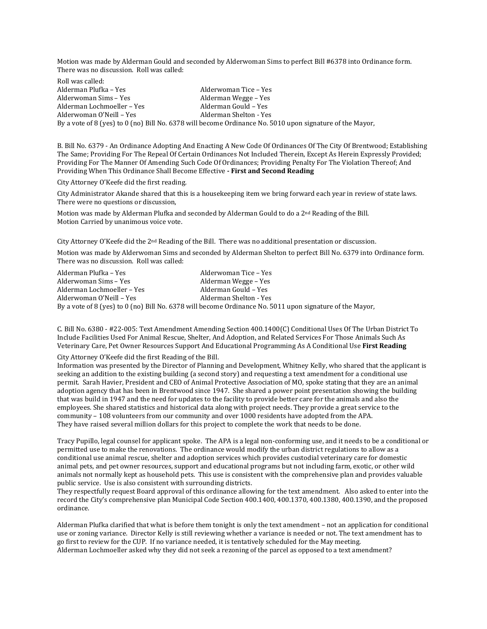Motion was made by Alderman Gould and seconded by Alderwoman Sims to perfect Bill #6378 into Ordinance form. There was no discussion. Roll was called:

Roll was called: Alderman Plufka – Yes **Alderwoman Tice – Yes** Alderwoman Tice – Yes Alderwoman Sims – Yes Alderman Wegge – Yes Alderman Lochmoeller – Yes Alderman Gould – Yes Alderwoman O'Neill – Yes Alderman Shelton - Yes By a vote of 8 (yes) to 0 (no) Bill No. 6378 will become Ordinance No. 5010 upon signature of the Mayor,

B. Bill No. 6379 - An Ordinance Adopting And Enacting A New Code Of Ordinances Of The City Of Brentwood; Establishing The Same; Providing For The Repeal Of Certain Ordinances Not Included Therein, Except As Herein Expressly Provided; Providing For The Manner Of Amending Such Code Of Ordinances; Providing Penalty For The Violation Thereof; And Providing When This Ordinance Shall Become Effective **- First and Second Reading**

City Attorney O'Keefe did the first reading.

City Administrator Akande shared that this is a housekeeping item we bring forward each year in review of state laws. There were no questions or discussion,

Motion was made by Alderman Plufka and seconded by Alderman Gould to do a 2nd Reading of the Bill. Motion Carried by unanimous voice vote.

City Attorney O'Keefe did the 2nd Reading of the Bill. There was no additional presentation or discussion.

Motion was made by Alderwoman Sims and seconded by Alderman Shelton to perfect Bill No. 6379 into Ordinance form. There was no discussion. Roll was called:

Alderman Plufka – Yes **Alderwoman Tice – Yes** Alderwoman Sims – Yes **Alderman Wegge – Yes** Alderman Lochmoeller – Yes Alderman Gould – Yes Alderwoman O'Neill – Yes Alderman Shelton - Yes By a vote of 8 (yes) to 0 (no) Bill No. 6378 will become Ordinance No. 5011 upon signature of the Mayor,

C. Bill No. 6380 - #22-005: Text Amendment Amending Section 400.1400(C) Conditional Uses Of The Urban District To Include Facilities Used For Animal Rescue, Shelter, And Adoption, and Related Services For Those Animals Such As Veterinary Care, Pet Owner Resources Support And Educational Programming As A Conditional Use **First Reading**

City Attorney O'Keefe did the first Reading of the Bill.

Information was presented by the Director of Planning and Development, Whitney Kelly, who shared that the applicant is seeking an addition to the existing building (a second story) and requesting a text amendment for a conditional use permit. Sarah Havier, President and CEO of Animal Protective Association of MO, spoke stating that they are an animal adoption agency that has been in Brentwood since 1947. She shared a power point presentation showing the building that was build in 1947 and the need for updates to the facility to provide better care for the animals and also the employees. She shared statistics and historical data along with project needs. They provide a great service to the community – 108 volunteers from our community and over 1000 residents have adopted from the APA. They have raised several million dollars for this project to complete the work that needs to be done.

Tracy Pupillo, legal counsel for applicant spoke. The APA is a legal non-conforming use, and it needs to be a conditional or permitted use to make the renovations. The ordinance would modify the urban district regulations to allow as a conditional use animal rescue, shelter and adoption services which provides custodial veterinary care for domestic animal pets, and pet owner resources, support and educational programs but not including farm, exotic, or other wild animals not normally kept as household pets. This use is consistent with the comprehensive plan and provides valuable public service. Use is also consistent with surrounding districts.

They respectfully request Board approval of this ordinance allowing for the text amendment. Also asked to enter into the record the City's comprehensive plan Municipal Code Section 400.1400, 400.1370, 400.1380, 400.1390, and the proposed ordinance.

Alderman Plufka clarified that what is before them tonight is only the text amendment – not an application for conditional use or zoning variance. Director Kelly is still reviewing whether a variance is needed or not. The text amendment has to go first to review for the CUP. If no variance needed, it is tentatively scheduled for the May meeting. Alderman Lochmoeller asked why they did not seek a rezoning of the parcel as opposed to a text amendment?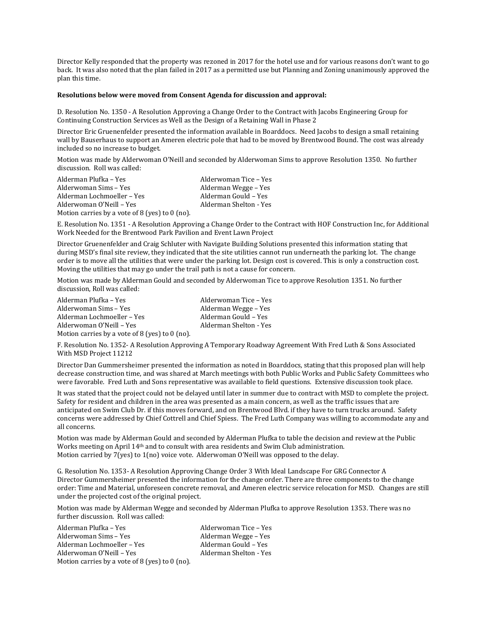Director Kelly responded that the property was rezoned in 2017 for the hotel use and for various reasons don't want to go back. It was also noted that the plan failed in 2017 as a permitted use but Planning and Zoning unanimously approved the plan this time.

#### **Resolutions below were moved from Consent Agenda for discussion and approval:**

D. Resolution No. 1350 - A Resolution Approving a Change Order to the Contract with Jacobs Engineering Group for Continuing Construction Services as Well as the Design of a Retaining Wall in Phase 2

Director Eric Gruenenfelder presented the information available in Boarddocs. Need Jacobs to design a small retaining wall by Bauserhaus to support an Ameren electric pole that had to be moved by Brentwood Bound. The cost was already included so no increase to budget.

Motion was made by Alderwoman O'Neill and seconded by Alderwoman Sims to approve Resolution 1350. No further discussion. Roll was called:

| Alderman Plufka – Yes                          | Alderwoman Tice – Yes  |
|------------------------------------------------|------------------------|
| Alderwoman Sims - Yes                          | Alderman Wegge – Yes   |
| Alderman Lochmoeller – Yes                     | Alderman Gould - Yes   |
| Alderwoman O'Neill - Yes                       | Alderman Shelton - Yes |
| Motion carries by a vote of 8 (yes) to 0 (no). |                        |

E. Resolution No. 1351 - A Resolution Approving a Change Order to the Contract with HOF Construction Inc, for Additional Work Needed for the Brentwood Park Pavilion and Event Lawn Project

Director Gruenenfelder and Craig Schluter with Navigate Building Solutions presented this information stating that during MSD's final site review, they indicated that the site utilities cannot run underneath the parking lot. The change order is to move all the utilities that were under the parking lot. Design cost is covered. This is only a construction cost. Moving the utilities that may go under the trail path is not a cause for concern.

Motion was made by Alderman Gould and seconded by Alderwoman Tice to approve Resolution 1351. No further discussion, Roll was called:

| Alderman Plufka - Yes                            | Alderwoman Tice – Yes  |
|--------------------------------------------------|------------------------|
| Alderwoman Sims – Yes                            | Alderman Wegge – Yes   |
| Alderman Lochmoeller - Yes                       | Alderman Gould - Yes   |
| Alderwoman O'Neill - Yes                         | Alderman Shelton - Yes |
| Motion carries by a vote of 8 (yes) to $0$ (no). |                        |

F. Resolution No. 1352- A Resolution Approving A Temporary Roadway Agreement With Fred Luth & Sons Associated With MSD Project 11212

Director Dan Gummersheimer presented the information as noted in Boarddocs, stating that this proposed plan will help decrease construction time, and was shared at March meetings with both Public Works and Public Safety Committees who were favorable. Fred Luth and Sons representative was available to field questions. Extensive discussion took place.

It was stated that the project could not be delayed until later in summer due to contract with MSD to complete the project. Safety for resident and children in the area was presented as a main concern, as well as the traffic issues that are anticipated on Swim Club Dr. if this moves forward, and on Brentwood Blvd. if they have to turn trucks around. Safety concerns were addressed by Chief Cottrell and Chief Spiess. The Fred Luth Company was willing to accommodate any and all concerns.

Motion was made by Alderman Gould and seconded by Alderman Plufka to table the decision and review at the Public Works meeting on April 14<sup>th</sup> and to consult with area residents and Swim Club administration. Motion carried by 7(yes) to 1(no) voice vote. Alderwoman O'Neill was opposed to the delay.

G. Resolution No. 1353- A Resolution Approving Change Order 3 With Ideal Landscape For GRG Connector A Director Gummersheimer presented the information for the change order. There are three components to the change order: Time and Material, unforeseen concrete removal, and Ameren electric service relocation for MSD. Changes are still under the projected cost of the original project.

Motion was made by Alderman Wegge and seconded by Alderman Plufka to approve Resolution 1353. There was no further discussion. Roll was called:

Alderman Plufka – Yes Alderwoman Tice – Yes Alderwoman Sims – Yes Alderman Wegge – Yes Alderman Lochmoeller – Yes Alderman Gould – Yes Alderwoman O'Neill – Yes Alderman Shelton - Yes Motion carries by a vote of 8 (yes) to 0 (no).